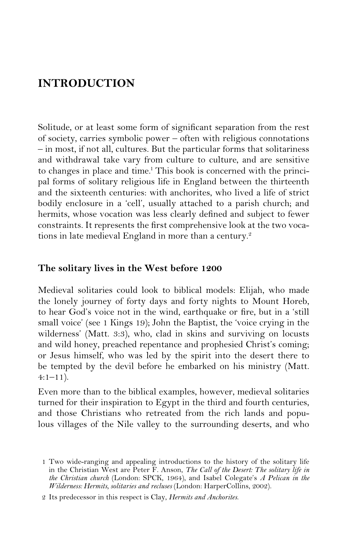# **INTRODUCTION**

Solitude, or at least some form of significant separation from the rest of society, carries symbolic power – often with religious connotations – in most, if not all, cultures. But the particular forms that solitariness and withdrawal take vary from culture to culture, and are sensitive to changes in place and time.<sup>1</sup> This book is concerned with the principal forms of solitary religious life in England between the thirteenth and the sixteenth centuries: with anchorites, who lived a life of strict bodily enclosure in a 'cell', usually attached to a parish church; and hermits, whose vocation was less clearly defined and subject to fewer constraints. It represents the first comprehensive look at the two vocations in late medieval England in more than a century.<sup>2</sup>

## **The solitary lives in the West before 1200**

Medieval solitaries could look to biblical models: Elijah, who made the lonely journey of forty days and forty nights to Mount Horeb, to hear God's voice not in the wind, earthquake or fire, but in a 'still small voice' (see 1 Kings 19); John the Baptist, the 'voice crying in the wilderness' (Matt. 3:3), who, clad in skins and surviving on locusts and wild honey, preached repentance and prophesied Christ's coming; or Jesus himself, who was led by the spirit into the desert there to be tempted by the devil before he embarked on his ministry (Matt.  $4:1-11$ ).

Even more than to the biblical examples, however, medieval solitaries turned for their inspiration to Egypt in the third and fourth centuries, and those Christians who retreated from the rich lands and populous villages of the Nile valley to the surrounding deserts, and who

<sup>1</sup> Two wide-ranging and appealing introductions to the history of the solitary life in the Christian West are Peter F. Anson, *The Call of the Desert: The solitary life in the Christian church* (London: SPCK, 1964), and Isabel Colegate's *A Pelican in the Wilderness: Hermits, solitaries and recluses* (London: HarperCollins, 2002).

<sup>2</sup> Its predecessor in this respect is Clay, *Hermits and Anchorites*.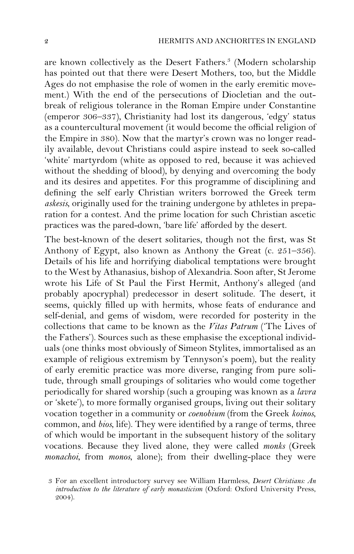are known collectively as the Desert Fathers.<sup>3</sup> (Modern scholarship has pointed out that there were Desert Mothers, too, but the Middle Ages do not emphasise the role of women in the early eremitic movement.) With the end of the persecutions of Diocletian and the outbreak of religious tolerance in the Roman Empire under Constantine (emperor 306–337), Christianity had lost its dangerous, 'edgy' status as a countercultural movement (it would become the official religion of the Empire in 380). Now that the martyr's crown was no longer readily available, devout Christians could aspire instead to seek so-called 'white' martyrdom (white as opposed to red, because it was achieved without the shedding of blood), by denying and overcoming the body and its desires and appetites. For this programme of disciplining and defining the self early Christian writers borrowed the Greek term *askesis*, originally used for the training undergone by athletes in preparation for a contest. And the prime location for such Christian ascetic practices was the pared-down, 'bare life' afforded by the desert.

The best-known of the desert solitaries, though not the first, was St Anthony of Egypt, also known as Anthony the Great (c. 251–356). Details of his life and horrifying diabolical temptations were brought to the West by Athanasius, bishop of Alexandria. Soon after, St Jerome wrote his Life of St Paul the First Hermit, Anthony's alleged (and probably apocryphal) predecessor in desert solitude. The desert, it seems, quickly filled up with hermits, whose feats of endurance and self-denial, and gems of wisdom, were recorded for posterity in the collections that came to be known as the *Vitas Patrum* ('The Lives of the Fathers'). Sources such as these emphasise the exceptional individuals (one thinks most obviously of Simeon Stylites, immortalised as an example of religious extremism by Tennyson's poem), but the reality of early eremitic practice was more diverse, ranging from pure solitude, through small groupings of solitaries who would come together periodically for shared worship (such a grouping was known as a *lavra* or 'skete'), to more formally organised groups, living out their solitary vocation together in a community or *coenobium* (from the Greek *koinos*, common, and *bios*, life). They were identified by a range of terms, three of which would be important in the subsequent history of the solitary vocations. Because they lived alone, they were called *monks* (Greek *monachoi*, from *monos*, alone); from their dwelling-place they were

<sup>3</sup> For an excellent introductory survey see William Harmless, *Desert Christians: An introduction to the literature of early monasticism* (Oxford: Oxford University Press, 2004).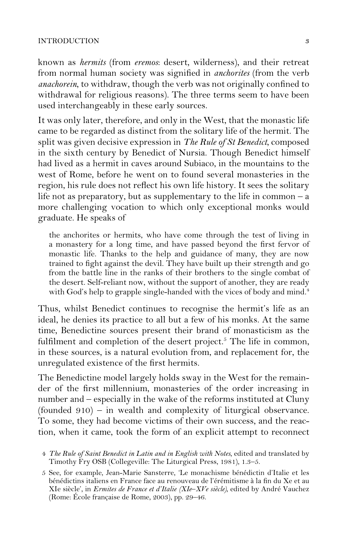#### INTRODUCTION **3**

known as *hermits* (from *eremos*: desert, wilderness), and their retreat from normal human society was signified in *anchorites* (from the verb *anachorein*, to withdraw, though the verb was not originally confined to withdrawal for religious reasons). The three terms seem to have been used interchangeably in these early sources.

It was only later, therefore, and only in the West, that the monastic life came to be regarded as distinct from the solitary life of the hermit. The split was given decisive expression in *The Rule of St Benedict*, composed in the sixth century by Benedict of Nursia. Though Benedict himself had lived as a hermit in caves around Subiaco, in the mountains to the west of Rome, before he went on to found several monasteries in the region, his rule does not reflect his own life history. It sees the solitary life not as preparatory, but as supplementary to the life in common  $-$  a more challenging vocation to which only exceptional monks would graduate. He speaks of

the anchorites or hermits, who have come through the test of living in a monastery for a long time, and have passed beyond the first fervor of monastic life. Thanks to the help and guidance of many, they are now trained to fight against the devil. They have built up their strength and go from the battle line in the ranks of their brothers to the single combat of the desert. Self-reliant now, without the support of another, they are ready with God's help to grapple single-handed with the vices of body and mind.<sup>4</sup>

Thus, whilst Benedict continues to recognise the hermit's life as an ideal, he denies its practice to all but a few of his monks. At the same time, Benedictine sources present their brand of monasticism as the fulfilment and completion of the desert project.<sup>5</sup> The life in common, in these sources, is a natural evolution from, and replacement for, the unregulated existence of the first hermits.

The Benedictine model largely holds sway in the West for the remainder of the first millennium, monasteries of the order increasing in number and – especially in the wake of the reforms instituted at Cluny (founded 910) – in wealth and complexity of liturgical observance. To some, they had become victims of their own success, and the reaction, when it came, took the form of an explicit attempt to reconnect

<sup>4</sup> *The Rule of Saint Benedict in Latin and in English with Notes*, edited and translated by Timothy Fry OSB (Collegeville: The Liturgical Press, 1981), 1.3–5.

<sup>5</sup> See, for example, Jean-Marie Sansterre, 'Le monachisme bénédictin d'Italie et les bénédictins italiens en France face au renouveau de l'érémitisme à la fin du Xe et au XIe siècle', in *Ermites de France et d'Italie (XIe–XVe siècle)*, edited by André Vauchez (Rome: École française de Rome, 2003), pp. 29–46.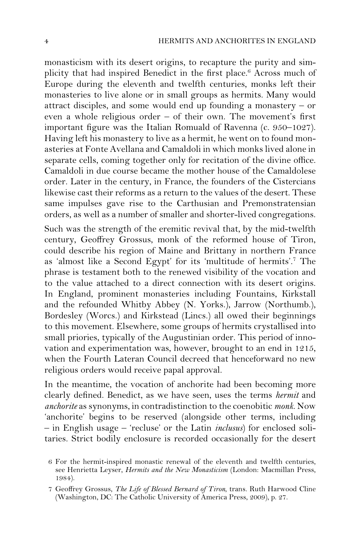monasticism with its desert origins, to recapture the purity and simplicity that had inspired Benedict in the first place.<sup>6</sup> Across much of Europe during the eleventh and twelfth centuries, monks left their monasteries to live alone or in small groups as hermits. Many would attract disciples, and some would end up founding a monastery – or even a whole religious order – of their own. The movement's first important figure was the Italian Romuald of Ravenna (c. 950–1027). Having left his monastery to live as a hermit, he went on to found monasteries at Fonte Avellana and Camaldoli in which monks lived alone in separate cells, coming together only for recitation of the divine office. Camaldoli in due course became the mother house of the Camaldolese order. Later in the century, in France, the founders of the Cistercians likewise cast their reforms as a return to the values of the desert. These same impulses gave rise to the Carthusian and Premonstratensian orders, as well as a number of smaller and shorter-lived congregations.

Such was the strength of the eremitic revival that, by the mid-twelfth century, Geoffrey Grossus, monk of the reformed house of Tiron, could describe his region of Maine and Brittany in northern France as 'almost like a Second Egypt' for its 'multitude of hermits'.7 The phrase is testament both to the renewed visibility of the vocation and to the value attached to a direct connection with its desert origins. In England, prominent monasteries including Fountains, Kirkstall and the refounded Whitby Abbey (N. Yorks.), Jarrow (Northumb.), Bordesley (Worcs.) and Kirkstead (Lincs.) all owed their beginnings to this movement. Elsewhere, some groups of hermits crystallised into small priories, typically of the Augustinian order. This period of innovation and experimentation was, however, brought to an end in 1215, when the Fourth Lateran Council decreed that henceforward no new religious orders would receive papal approval.

In the meantime, the vocation of anchorite had been becoming more clearly defined. Benedict, as we have seen, uses the terms *hermit* and *anchorite* as synonyms, in contradistinction to the coenobitic *monk*. Now 'anchorite' begins to be reserved (alongside other terms, including – in English usage – 'recluse' or the Latin *inclusus*) for enclosed solitaries. Strict bodily enclosure is recorded occasionally for the desert

<sup>6</sup> For the hermit-inspired monastic renewal of the eleventh and twelfth centuries, see Henrietta Leyser, *Hermits and the New Monasticism* (London: Macmillan Press, 1984).

<sup>7</sup> Geoffrey Grossus, *The Life of Blessed Bernard of Tiron*, trans. Ruth Harwood Cline (Washington, DC: The Catholic University of America Press, 2009), p. 27.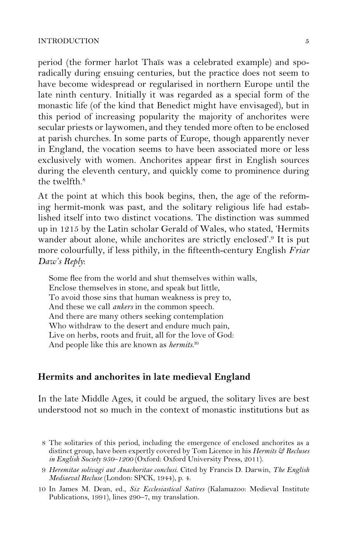period (the former harlot Thaïs was a celebrated example) and sporadically during ensuing centuries, but the practice does not seem to have become widespread or regularised in northern Europe until the late ninth century. Initially it was regarded as a special form of the monastic life (of the kind that Benedict might have envisaged), but in this period of increasing popularity the majority of anchorites were secular priests or laywomen, and they tended more often to be enclosed at parish churches. In some parts of Europe, though apparently never in England, the vocation seems to have been associated more or less exclusively with women. Anchorites appear first in English sources during the eleventh century, and quickly come to prominence during the twelfth  $8$ 

At the point at which this book begins, then, the age of the reforming hermit-monk was past, and the solitary religious life had established itself into two distinct vocations. The distinction was summed up in 1215 by the Latin scholar Gerald of Wales, who stated, 'Hermits wander about alone, while anchorites are strictly enclosed'.9 It is put more colourfully, if less pithily, in the fifteenth-century English *Friar Daw's Reply*:

Some flee from the world and shut themselves within walls, Enclose themselves in stone, and speak but little, To avoid those sins that human weakness is prey to, And these we call *ankers* in the common speech. And there are many others seeking contemplation Who withdraw to the desert and endure much pain, Live on herbs, roots and fruit, all for the love of God: And people like this are known as *hermits*. 10

#### **Hermits and anchorites in late medieval England**

In the late Middle Ages, it could be argued, the solitary lives are best understood not so much in the context of monastic institutions but as

<sup>8</sup> The solitaries of this period, including the emergence of enclosed anchorites as a distinct group, have been expertly covered by Tom Licence in his *Hermits & Recluses in English Society 950–1200* (Oxford: Oxford University Press, 2011).

<sup>9</sup> *Heremitae solivagi aut Anachoritae conclusi*. Cited by Francis D. Darwin, *The English Mediaeval Recluse* (London: SPCK, 1944), p. 4.

<sup>10</sup> In James M. Dean, ed., *Six Ecclesiastical Satires* (Kalamazoo: Medieval Institute Publications, 1991), lines 290–7, my translation.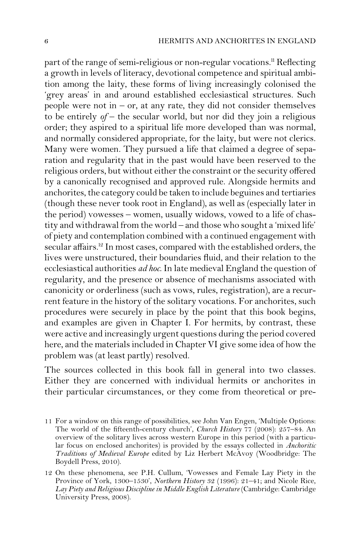part of the range of semi-religious or non-regular vocations.<sup>11</sup> Reflecting a growth in levels of literacy, devotional competence and spiritual ambition among the laity, these forms of living increasingly colonised the 'grey areas' in and around established ecclesiastical structures. Such people were not in  $-$  or, at any rate, they did not consider themselves to be entirely *of* – the secular world, but nor did they join a religious order; they aspired to a spiritual life more developed than was normal, and normally considered appropriate, for the laity, but were not clerics. Many were women. They pursued a life that claimed a degree of separation and regularity that in the past would have been reserved to the religious orders, but without either the constraint or the security offered by a canonically recognised and approved rule. Alongside hermits and anchorites, the category could be taken to include beguines and tertiaries (though these never took root in England), as well as (especially later in the period) vowesses – women, usually widows, vowed to a life of chastity and withdrawal from the world – and those who sought a 'mixed life' of piety and contemplation combined with a continued engagement with secular affairs.<sup>12</sup> In most cases, compared with the established orders, the lives were unstructured, their boundaries fluid, and their relation to the ecclesiastical authorities *ad hoc*. In late medieval England the question of regularity, and the presence or absence of mechanisms associated with canonicity or orderliness (such as vows, rules, registration), are a recurrent feature in the history of the solitary vocations. For anchorites, such procedures were securely in place by the point that this book begins, and examples are given in Chapter I. For hermits, by contrast, these were active and increasingly urgent questions during the period covered here, and the materials included in Chapter VI give some idea of how the problem was (at least partly) resolved.

The sources collected in this book fall in general into two classes. Either they are concerned with individual hermits or anchorites in their particular circumstances, or they come from theoretical or pre-

- 11 For a window on this range of possibilities, see John Van Engen, 'Multiple Options: The world of the fifteenth-century church', *Church History* 77 (2008): 257–84. An overview of the solitary lives across western Europe in this period (with a particular focus on enclosed anchorites) is provided by the essays collected in *Anchoritic Traditions of Medieval Europe* edited by Liz Herbert McAvoy (Woodbridge: The Boydell Press, 2010).
- 12 On these phenomena, see P.H. Cullum, 'Vowesses and Female Lay Piety in the Province of York, 1300–1530', *Northern History* 32 (1996): 21–41; and Nicole Rice, Lay Piety and Religious Discipline in Middle English Literature (Cambridge: Cambridge University Press, 2008).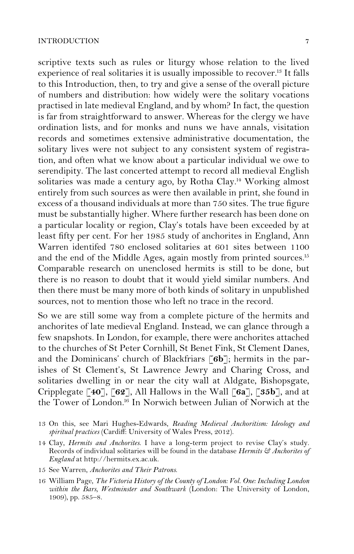scriptive texts such as rules or liturgy whose relation to the lived experience of real solitaries it is usually impossible to recover.<sup>13</sup> It falls to this Introduction, then, to try and give a sense of the overall picture of numbers and distribution: how widely were the solitary vocations practised in late medieval England, and by whom? In fact, the question is far from straightforward to answer. Whereas for the clergy we have ordination lists, and for monks and nuns we have annals, visitation records and sometimes extensive administrative documentation, the solitary lives were not subject to any consistent system of registration, and often what we know about a particular individual we owe to serendipity. The last concerted attempt to record all medieval English solitaries was made a century ago, by Rotha Clay.<sup>14</sup> Working almost entirely from such sources as were then available in print, she found in excess of a thousand individuals at more than 750 sites. The true figure must be substantially higher. Where further research has been done on a particular locality or region, Clay's totals have been exceeded by at least fifty per cent. For her 1985 study of anchorites in England, Ann Warren identifed 780 enclosed solitaries at 601 sites between 1100 and the end of the Middle Ages, again mostly from printed sources.<sup>15</sup> Comparable research on unenclosed hermits is still to be done, but there is no reason to doubt that it would yield similar numbers. And then there must be many more of both kinds of solitary in unpublished sources, not to mention those who left no trace in the record.

So we are still some way from a complete picture of the hermits and anchorites of late medieval England. Instead, we can glance through a few snapshots. In London, for example, there were anchorites attached to the churches of St Peter Cornhill, St Benet Fink, St Clement Danes, and the Dominicans' church of Blackfriars [**6b**]; hermits in the parishes of St Clement's, St Lawrence Jewry and Charing Cross, and solitaries dwelling in or near the city wall at Aldgate, Bishopsgate, Cripplegate [**40**], [**62**], All Hallows in the Wall [**6a**], [**35b**], and at the Tower of London.16 In Norwich between Julian of Norwich at the

- 15 See Warren, *Anchorites and Their Patrons*.
- 16 William Page, *The Victoria History of the County of London: Vol. One: Including London within the Bars, Westminster and Southwark* (London: The University of London, 1909), pp. 585–8.

<sup>13</sup> On this, see Mari Hughes-Edwards, *Reading Medieval Anchoritism: Ideology and spiritual practices* (Cardiff: University of Wales Press, 2012).

<sup>14</sup> Clay, *Hermits and Anchorites*. I have a long-term project to revise Clay's study. Records of individual solitaries will be found in the database *Hermits & Anchorites of England* at http://hermits.ex.ac.uk.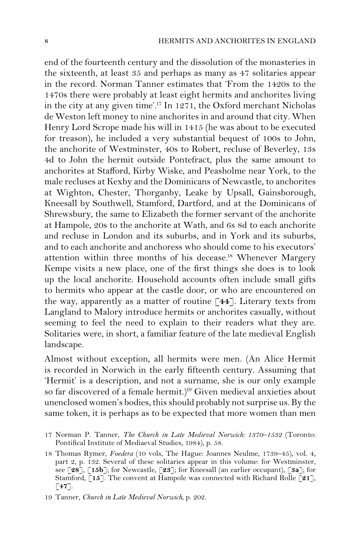end of the fourteenth century and the dissolution of the monasteries in the sixteenth, at least 35 and perhaps as many as 47 solitaries appear in the record. Norman Tanner estimates that 'From the 1420s to the 1470s there were probably at least eight hermits and anchorites living in the city at any given time'.17 In 1271, the Oxford merchant Nicholas de Weston left money to nine anchorites in and around that city. When Henry Lord Scrope made his will in 1415 (he was about to be executed for treason), he included a very substantial bequest of 100s to John, the anchorite of Westminster, 40s to Robert, recluse of Beverley, 13s 4d to John the hermit outside Pontefract, plus the same amount to anchorites at Stafford, Kirby Wiske, and Peasholme near York, to the male recluses at Kexby and the Dominicans of Newcastle, to anchorites at Wighton, Chester, Thorganby, Leake by Upsall, Gainsborough, Kneesall by Southwell, Stamford, Dartford, and at the Dominicans of Shrewsbury, the same to Elizabeth the former servant of the anchorite at Hampole, 20s to the anchorite at Wath, and 6s 8d to each anchorite and recluse in London and its suburbs, and in York and its suburbs, and to each anchorite and anchoress who should come to his executors' attention within three months of his decease.18 Whenever Margery Kempe visits a new place, one of the first things she does is to look up the local anchorite. Household accounts often include small gifts to hermits who appear at the castle door, or who are encountered on the way, apparently as a matter of routine [**44**]. Literary texts from Langland to Malory introduce hermits or anchorites casually, without seeming to feel the need to explain to their readers what they are. Solitaries were, in short, a familiar feature of the late medieval English landscape.

Almost without exception, all hermits were men. (An Alice Hermit is recorded in Norwich in the early fifteenth century. Assuming that 'Hermit' is a description, and not a surname, she is our only example so far discovered of a female hermit.)<sup>19</sup> Given medieval anxieties about unenclosed women's bodies, this should probably not surprise us. By the same token, it is perhaps as to be expected that more women than men

- 17 Norman P. Tanner, *The Church in Late Medieval Norwich: 1370–1532* (Toronto: Pontifical Institute of Mediaeval Studies, 1984), p. 58.
- 18 Thomas Rymer, *Foedera* (10 vols, The Hague: Joannes Neulme, 1739–45), vol. 4, part 2, p. 132. Several of these solitaries appear in this volume: for Westminster, see [**28**], [**15b**]; for Newcastle, [**23**]; for Kneesall (an earlier occupant), [**3a**]; for Stamford, [**15**]. The convent at Hampole was connected with Richard Rolle [**21**], [**47**].
- 19 Tanner, *Church in Late Medieval Norwich*, p. 202.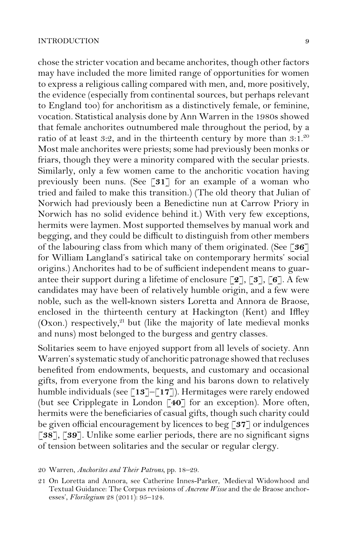chose the stricter vocation and became anchorites, though other factors may have included the more limited range of opportunities for women to express a religious calling compared with men, and, more positively, the evidence (especially from continental sources, but perhaps relevant to England too) for anchoritism as a distinctively female, or feminine, vocation. Statistical analysis done by Ann Warren in the 1980s showed that female anchorites outnumbered male throughout the period, by a ratio of at least 3:2, and in the thirteenth century by more than 3:1.20 Most male anchorites were priests; some had previously been monks or friars, though they were a minority compared with the secular priests. Similarly, only a few women came to the anchoritic vocation having previously been nuns. (See [**31**] for an example of a woman who tried and failed to make this transition.) (The old theory that Julian of Norwich had previously been a Benedictine nun at Carrow Priory in Norwich has no solid evidence behind it.) With very few exceptions, hermits were laymen. Most supported themselves by manual work and begging, and they could be difficult to distinguish from other members of the labouring class from which many of them originated. (See [**36**] for William Langland's satirical take on contemporary hermits' social origins.) Anchorites had to be of sufficient independent means to guarantee their support during a lifetime of enclosure [**2**], [**3**], [**6**]. A few candidates may have been of relatively humble origin, and a few were noble, such as the well-known sisters Loretta and Annora de Braose, enclosed in the thirteenth century at Hackington (Kent) and Iffley (Oxon.) respectively, $21$  but (like the majority of late medieval monks and nuns) most belonged to the burgess and gentry classes.

Solitaries seem to have enjoyed support from all levels of society. Ann Warren's systematic study of anchoritic patronage showed that recluses benefited from endowments, bequests, and customary and occasional gifts, from everyone from the king and his barons down to relatively humble individuals (see [13]-[17]). Hermitages were rarely endowed (but see Cripplegate in London [**40**] for an exception). More often, hermits were the beneficiaries of casual gifts, though such charity could be given official encouragement by licences to beg [**37**] or indulgences [**38**], [**39**]. Unlike some earlier periods, there are no significant signs of tension between solitaries and the secular or regular clergy.

<sup>20</sup> Warren, *Anchorites and Their Patrons*, pp. 18–29.

<sup>21</sup> On Loretta and Annora, see Catherine Innes-Parker, 'Medieval Widowhood and Textual Guidance: The Corpus revisions of *Ancrene Wisse* and the de Braose anchoresses', *Florilegium* 28 (2011): 95–124.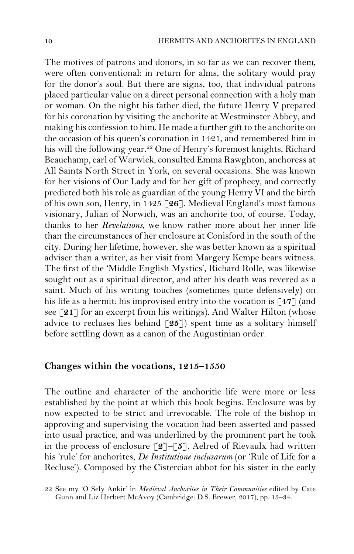The motives of patrons and donors, in so far as we can recover them, were often conventional: in return for alms, the solitary would pray for the donor's soul. But there are signs, too, that individual patrons placed particular value on a direct personal connection with a holy man or woman. On the night his father died, the future Henry V prepared for his coronation by visiting the anchorite at Westminster Abbey, and making his confession to him. He made a further gift to the anchorite on the occasion of his queen's coronation in 1421, and remembered him in his will the following year.<sup>22</sup> One of Henry's foremost knights, Richard Beauchamp, earl of Warwick, consulted Emma Rawghton, anchoress at All Saints North Street in York, on several occasions. She was known for her visions of Our Lady and for her gift of prophecy, and correctly predicted both his role as guardian of the young Henry VI and the birth of his own son, Henry, in 1425 [**26**]. Medieval England's most famous visionary, Julian of Norwich, was an anchorite too, of course. Today, thanks to her *Revelations*, we know rather more about her inner life than the circumstances of her enclosure at Conisford in the south of the city. During her lifetime, however, she was better known as a spiritual adviser than a writer, as her visit from Margery Kempe bears witness. The first of the 'Middle English Mystics', Richard Rolle, was likewise sought out as a spiritual director, and after his death was revered as a saint. Much of his writing touches (sometimes quite defensively) on his life as a hermit: his improvised entry into the vocation is [**47**] (and see [21] for an excerpt from his writings). And Walter Hilton (whose advice to recluses lies behind [**25**]) spent time as a solitary himself before settling down as a canon of the Augustinian order.

### **Changes within the vocations, 1215–1550**

The outline and character of the anchoritic life were more or less established by the point at which this book begins. Enclosure was by now expected to be strict and irrevocable. The role of the bishop in approving and supervising the vocation had been asserted and passed into usual practice, and was underlined by the prominent part he took in the process of enclosure [**2**]–[**5**]. Aelred of Rievaulx had written his 'rule' for anchorites, *De Institutione inclusarum* (or 'Rule of Life for a Recluse'). Composed by the Cistercian abbot for his sister in the early

<sup>22</sup> See my 'O Sely Ankir' in *Medieval Anchorites in Their Communities* edited by Cate Gunn and Liz Herbert McAvoy (Cambridge: D.S. Brewer, 2017), pp. 13–34.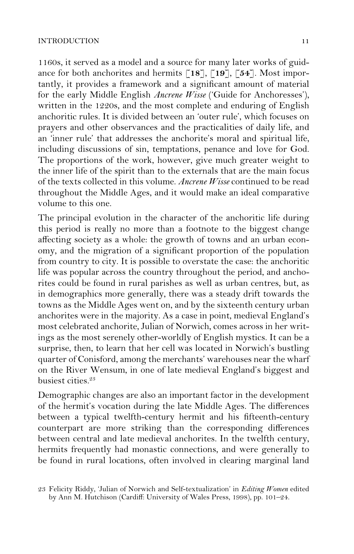1160s, it served as a model and a source for many later works of guidance for both anchorites and hermits [**18**], [**19**], [**54**]. Most importantly, it provides a framework and a significant amount of material for the early Middle English *Ancrene Wisse* ('Guide for Anchoresses'), written in the 1220s, and the most complete and enduring of English anchoritic rules. It is divided between an 'outer rule', which focuses on prayers and other observances and the practicalities of daily life, and an 'inner rule' that addresses the anchorite's moral and spiritual life, including discussions of sin, temptations, penance and love for God. The proportions of the work, however, give much greater weight to the inner life of the spirit than to the externals that are the main focus of the texts collected in this volume. *Ancrene Wisse* continued to be read throughout the Middle Ages, and it would make an ideal comparative volume to this one.

The principal evolution in the character of the anchoritic life during this period is really no more than a footnote to the biggest change affecting society as a whole: the growth of towns and an urban economy, and the migration of a significant proportion of the population from country to city. It is possible to overstate the case: the anchoritic life was popular across the country throughout the period, and anchorites could be found in rural parishes as well as urban centres, but, as in demographics more generally, there was a steady drift towards the towns as the Middle Ages went on, and by the sixteenth century urban anchorites were in the majority. As a case in point, medieval England's most celebrated anchorite, Julian of Norwich, comes across in her writings as the most serenely other-worldly of English mystics. It can be a surprise, then, to learn that her cell was located in Norwich's bustling quarter of Conisford, among the merchants' warehouses near the wharf on the River Wensum, in one of late medieval England's biggest and busiest cities.<sup>23</sup>

Demographic changes are also an important factor in the development of the hermit's vocation during the late Middle Ages. The differences between a typical twelfth-century hermit and his fifteenth-century counterpart are more striking than the corresponding differences between central and late medieval anchorites. In the twelfth century, hermits frequently had monastic connections, and were generally to be found in rural locations, often involved in clearing marginal land

<sup>23</sup> Felicity Riddy, 'Julian of Norwich and Self-textualization' in *Editing Women* edited by Ann M. Hutchison (Cardiff: University of Wales Press, 1998), pp. 101–24.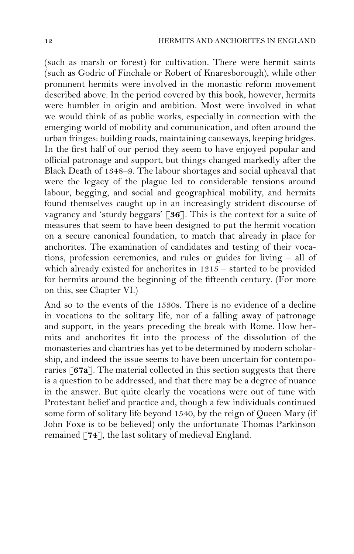(such as marsh or forest) for cultivation. There were hermit saints (such as Godric of Finchale or Robert of Knaresborough), while other prominent hermits were involved in the monastic reform movement described above. In the period covered by this book, however, hermits were humbler in origin and ambition. Most were involved in what we would think of as public works, especially in connection with the emerging world of mobility and communication, and often around the urban fringes: building roads, maintaining causeways, keeping bridges. In the first half of our period they seem to have enjoyed popular and official patronage and support, but things changed markedly after the Black Death of 1348–9. The labour shortages and social upheaval that were the legacy of the plague led to considerable tensions around labour, begging, and social and geographical mobility, and hermits found themselves caught up in an increasingly strident discourse of vagrancy and 'sturdy beggars' [**36**]. This is the context for a suite of measures that seem to have been designed to put the hermit vocation on a secure canonical foundation, to match that already in place for anchorites. The examination of candidates and testing of their vocations, profession ceremonies, and rules or guides for living – all of which already existed for anchorites in  $1215 -$  started to be provided for hermits around the beginning of the fifteenth century. (For more on this, see Chapter VI.)

And so to the events of the 1530s. There is no evidence of a decline in vocations to the solitary life, nor of a falling away of patronage and support, in the years preceding the break with Rome. How hermits and anchorites fit into the process of the dissolution of the monasteries and chantries has yet to be determined by modern scholarship, and indeed the issue seems to have been uncertain for contemporaries [**67a**]. The material collected in this section suggests that there is a question to be addressed, and that there may be a degree of nuance in the answer. But quite clearly the vocations were out of tune with Protestant belief and practice and, though a few individuals continued some form of solitary life beyond 1540, by the reign of Queen Mary (if John Foxe is to be believed) only the unfortunate Thomas Parkinson remained [**74**], the last solitary of medieval England.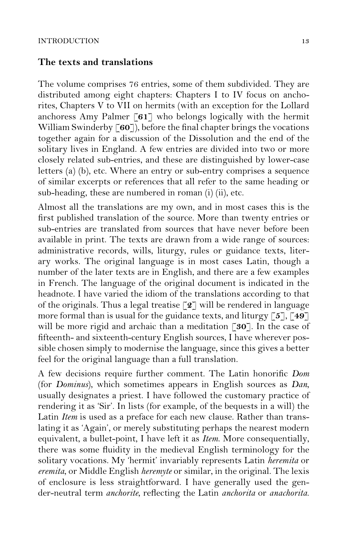#### **The texts and translations**

The volume comprises 76 entries, some of them subdivided. They are distributed among eight chapters: Chapters I to IV focus on anchorites, Chapters V to VII on hermits (with an exception for the Lollard anchoress Amy Palmer [**61**] who belongs logically with the hermit William Swinderby [60]), before the final chapter brings the vocations together again for a discussion of the Dissolution and the end of the solitary lives in England. A few entries are divided into two or more closely related sub-entries, and these are distinguished by lower-case letters (a) (b), etc. Where an entry or sub-entry comprises a sequence of similar excerpts or references that all refer to the same heading or sub-heading, these are numbered in roman (i) (ii), etc.

Almost all the translations are my own, and in most cases this is the first published translation of the source. More than twenty entries or sub-entries are translated from sources that have never before been available in print. The texts are drawn from a wide range of sources: administrative records, wills, liturgy, rules or guidance texts, literary works. The original language is in most cases Latin, though a number of the later texts are in English, and there are a few examples in French. The language of the original document is indicated in the headnote. I have varied the idiom of the translations according to that of the originals. Thus a legal treatise [**2**] will be rendered in language more formal than is usual for the guidance texts, and liturgy [**5**], [**49**] will be more rigid and archaic than a meditation [**30**]. In the case of fifteenth- and sixteenth-century English sources, I have wherever possible chosen simply to modernise the language, since this gives a better feel for the original language than a full translation.

A few decisions require further comment. The Latin honorific *Dom* (for *Dominus*), which sometimes appears in English sources as *Dan*, usually designates a priest. I have followed the customary practice of rendering it as 'Sir'. In lists (for example, of the bequests in a will) the Latin *Item* is used as a preface for each new clause. Rather than translating it as 'Again', or merely substituting perhaps the nearest modern equivalent, a bullet-point, I have left it as *Item*. More consequentially, there was some fluidity in the medieval English terminology for the solitary vocations. My 'hermit' invariably represents Latin *heremita* or *eremita*, or Middle English *heremyte* or similar, in the original. The lexis of enclosure is less straightforward. I have generally used the gender-neutral term *anchorite*, reflecting the Latin *anchorita* or *anachorita*.